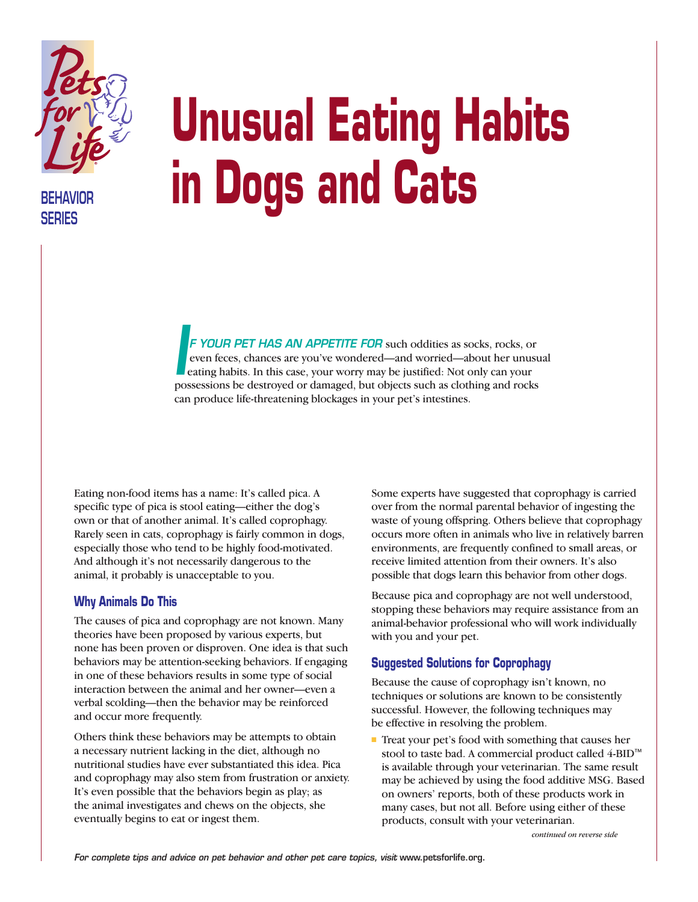

**BEHAVIOR SERIES**

# **Unusual Eating Habits in Dogs and Cats**

*F YOUR PET HAS AN APPETITE FOR* such oddities as socks, rocks, or even feces, chances are you've wondered—and worried—about her unusual eating habits. In this case, your worry may be justified: Not only can your possessions be destroyed or damaged, but objects such as clothing and rocks<br>possessions be destroyed or damaged, but objects such as clothing and rocks can produce life-threatening blockages in your pet's intestines.

Eating non-food items has a name: It's called pica. A specific type of pica is stool eating—either the dog's own or that of another animal. It's called coprophagy. Rarely seen in cats, coprophagy is fairly common in dogs, especially those who tend to be highly food-motivated. And although it's not necessarily dangerous to the animal, it probably is unacceptable to you.

#### **Why Animals Do This**

The causes of pica and coprophagy are not known. Many theories have been proposed by various experts, but none has been proven or disproven. One idea is that such behaviors may be attention-seeking behaviors. If engaging in one of these behaviors results in some type of social interaction between the animal and her owner—even a verbal scolding—then the behavior may be reinforced and occur more frequently.

Others think these behaviors may be attempts to obtain a necessary nutrient lacking in the diet, although no nutritional studies have ever substantiated this idea. Pica and coprophagy may also stem from frustration or anxiety. It's even possible that the behaviors begin as play; as the animal investigates and chews on the objects, she eventually begins to eat or ingest them.

Some experts have suggested that coprophagy is carried over from the normal parental behavior of ingesting the waste of young offspring. Others believe that coprophagy occurs more often in animals who live in relatively barren environments, are frequently confined to small areas, or receive limited attention from their owners. It's also possible that dogs learn this behavior from other dogs.

Because pica and coprophagy are not well understood, stopping these behaviors may require assistance from an animal-behavior professional who will work individually with you and your pet.

## **Suggested Solutions for Coprophagy**

Because the cause of coprophagy isn't known, no techniques or solutions are known to be consistently successful. However, the following techniques may be effective in resolving the problem.

■ Treat your pet's food with something that causes her stool to taste bad. A commercial product called 4-BID™ is available through your veterinarian. The same result may be achieved by using the food additive MSG. Based on owners' reports, both of these products work in many cases, but not all. Before using either of these products, consult with your veterinarian.

*continued on reverse side*